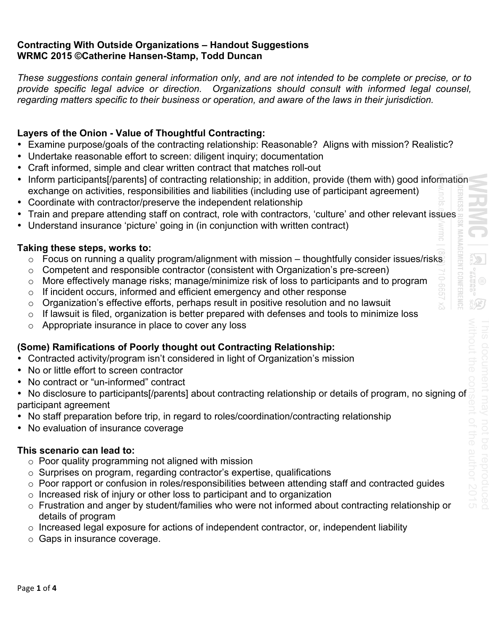#### **Contracting With Outside Organizations – Handout Suggestions WRMC 2015 ©Catherine Hansen-Stamp, Todd Duncan**

*These suggestions contain general information only, and are not intended to be complete or precise, or to provide specific legal advice or direction. Organizations should consult with informed legal counsel, regarding matters specific to their business or operation, and aware of the laws in their jurisdiction.* 

#### **Layers of the Onion - Value of Thoughtful Contracting:**

- Examine purpose/goals of the contracting relationship: Reasonable? Aligns with mission? Realistic?
- Undertake reasonable effort to screen: diligent inquiry; documentation
- Craft informed, simple and clear written contract that matches roll-out
- Inform participants[/parents] of contracting relationship; in addition, provide (them with) good information exchange on activities, responsibilities and liabilities (including use of participant agreement)
- Coordinate with contractor/preserve the independent relationship
- Train and prepare attending staff on contract, role with contractors, 'culture' and other relevant issues
- Understand insurance 'picture' going in (in conjunction with written contract)

#### **Taking these steps, works to:**

- $\circ$  Focus on running a quality program/alignment with mission thoughtfully consider issues/risks
- o Competent and responsible contractor (consistent with Organization's pre-screen)
- o More effectively manage risks; manage/minimize risk of loss to participants and to program
- o If incident occurs, informed and efficient emergency and other response
- o Organization's effective efforts, perhaps result in positive resolution and no lawsuit
- $\circ$  If lawsuit is filed, organization is better prepared with defenses and tools to minimize loss
- o Appropriate insurance in place to cover any loss

## **(Some) Ramifications of Poorly thought out Contracting Relationship:**

- Contracted activity/program isn't considered in light of Organization's mission
- No or little effort to screen contractor
- No contract or "un-informed" contract
- No disclosure to participants[/parents] about contracting relationship or details of program, no signing of participant agreement
- No staff preparation before trip, in regard to roles/coordination/contracting relationship
- No evaluation of insurance coverage

#### **This scenario can lead to:**

- o Poor quality programming not aligned with mission
- o Surprises on program, regarding contractor's expertise, qualifications
- o Poor rapport or confusion in roles/responsibilities between attending staff and contracted guides
- o Increased risk of injury or other loss to participant and to organization
- o Frustration and anger by student/families who were not informed about contracting relationship or details of program
- o Increased legal exposure for actions of independent contractor, or, independent liability
- o Gaps in insurance coverage.

MANAGEMENT CONFERENCI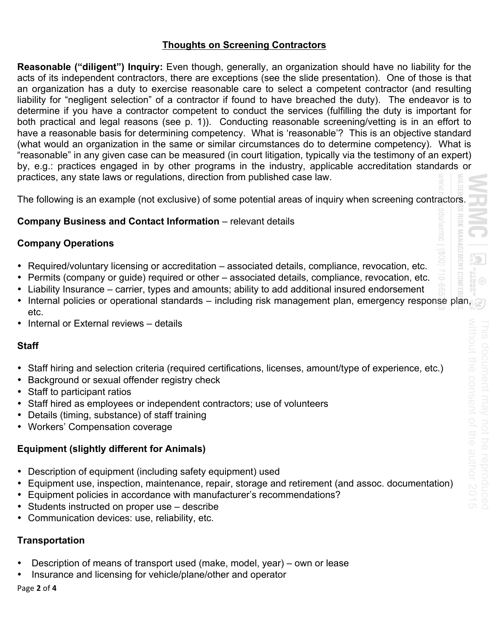## **Thoughts on Screening Contractors**

**Reasonable ("diligent") Inquiry:** Even though, generally, an organization should have no liability for the acts of its independent contractors, there are exceptions (see the slide presentation). One of those is that an organization has a duty to exercise reasonable care to select a competent contractor (and resulting liability for "negligent selection" of a contractor if found to have breached the duty). The endeavor is to determine if you have a contractor competent to conduct the services (fulfilling the duty is important for both practical and legal reasons (see p. 1)). Conducting reasonable screening/vetting is in an effort to have a reasonable basis for determining competency. What is 'reasonable'? This is an objective standard (what would an organization in the same or similar circumstances do to determine competency). What is "reasonable" in any given case can be measured (in court litigation, typically via the testimony of an expert) by, e.g.: practices engaged in by other programs in the industry, applicable accreditation standards or practices, any state laws or regulations, direction from published case law.

The following is an example (not exclusive) of some potential areas of inquiry when screening contractors.

**MANAGEMENT** 

BUNHEI

## **Company Business and Contact Information** – relevant details

## **Company Operations**

- Required/voluntary licensing or accreditation associated details, compliance, revocation, etc.
- Permits (company or guide) required or other associated details, compliance, revocation, etc.
- Liability Insurance carrier, types and amounts; ability to add additional insured endorsement
- Internal policies or operational standards including risk management plan, emergency response plan, etc.
- Internal or External reviews details

#### **Staff**

- Staff hiring and selection criteria (required certifications, licenses, amount/type of experience, etc.)
- Background or sexual offender registry check
- Staff to participant ratios
- Staff hired as employees or independent contractors; use of volunteers
- Details (timing, substance) of staff training
- Workers' Compensation coverage

# **Equipment (slightly different for Animals)**

- Description of equipment (including safety equipment) used
- Equipment use, inspection, maintenance, repair, storage and retirement (and assoc. documentation)
- Equipment policies in accordance with manufacturer's recommendations?
- Students instructed on proper use describe
- Communication devices: use, reliability, etc.

# **Transportation**

- Description of means of transport used (make, model, year) own or lease
- Insurance and licensing for vehicle/plane/other and operator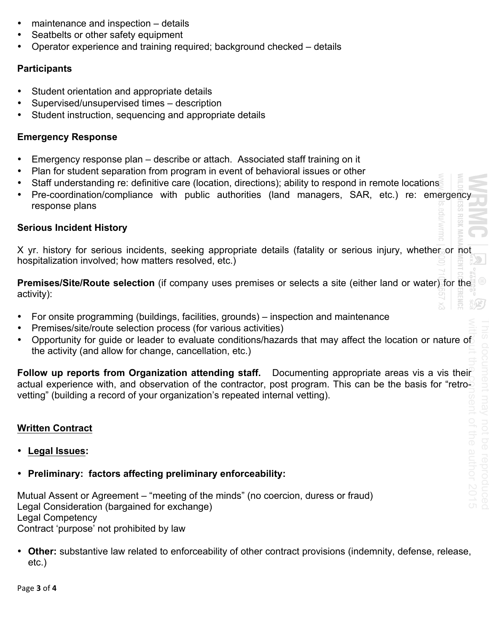- maintenance and inspection details
- Seatbelts or other safety equipment
- Operator experience and training required; background checked details

#### **Participants**

- Student orientation and appropriate details
- Supervised/unsupervised times description
- Student instruction, sequencing and appropriate details

#### **Emergency Response**

- Emergency response plan describe or attach. Associated staff training on it
- Plan for student separation from program in event of behavioral issues or other
- Staff understanding re: definitive care (location, directions); ability to respond in remote locations
- Pre-coordination/compliance with public authorities (land managers, SAR, etc.) re: emergency response plans

## **Serious Incident History**

X yr. history for serious incidents, seeking appropriate details (fatality or serious injury, whether or not hospitalization involved; how matters resolved, etc.)

**Premises/Site/Route selection** (if company uses premises or selects a site (either land or water) for the activity):

- For onsite programming (buildings, facilities, grounds) inspection and maintenance
- Premises/site/route selection process (for various activities)
- Opportunity for quide or leader to evaluate conditions/hazards that may affect the location or nature of the activity (and allow for change, cancellation, etc.)

**Follow up reports from Organization attending staff.** Documenting appropriate areas vis a vis their actual experience with, and observation of the contractor, post program. This can be the basis for "retrovetting" (building a record of your organization's repeated internal vetting).

## **Written Contract**

- **Legal Issues:**
- **Preliminary: factors affecting preliminary enforceability:**

Mutual Assent or Agreement – "meeting of the minds" (no coercion, duress or fraud) Legal Consideration (bargained for exchange) Legal Competency Contract 'purpose' not prohibited by law

• **Other:** substantive law related to enforceability of other contract provisions (indemnity, defense, release, etc.)